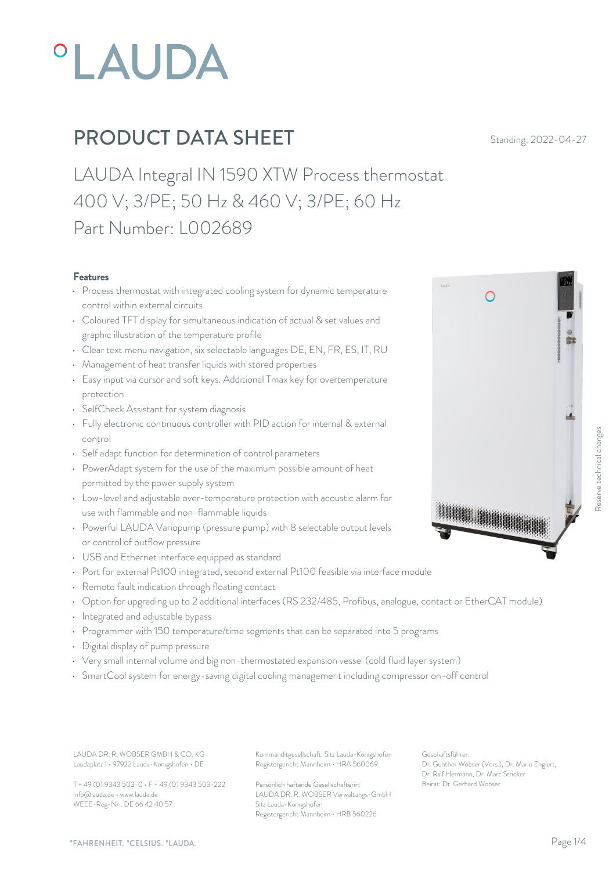

LAUDA Integral IN 1590 XTW Process thermostat 400 V; 3/PE; 50 Hz & 460 V; 3/PE; 60 Hz Part Number: L002689

#### Features

- Process thermostat with integrated cooling system for dynamic temperature control within external circuits
- Coloured TFT display for simultaneous indication of actual & set values and graphic illustration of the temperature profile
- Clear text menu navigation, six selectable languages DE, EN, FR, ES, IT, RU
- Management of heat transfer liquids with stored properties
- Easy input via cursor and soft keys. Additional Tmax key for overtemperature protection
- SelfCheck Assistant for system diagnosis
- Fully electronic continuous controller with PID action for internal & external control
- Self adapt function for determination of control parameters
- PowerAdapt system for the use of the maximum possible amount of heat permitted by the power supply system
- Low-level and adjustable over-temperature protection with acoustic alarm for<br>use with flammable and non-flammable liquids<br>and context of coloctable output levels use with flammable and non-flammable liquids
- Powerful LAUDA Variopump (pressure pump) with 8 selectable output levels or control of outflow pressure
- USB and Ethernet interface equipped as standard
- Port for external Pt100 integrated, second external Pt100 feasible via interface module
- Remote fault indication through floating contact
- Option for upgrading up to 2 additional interfaces (RS 232/485, Profibus, analogue, contact or EtherCAT module)
- Integrated and adjustable bypass
- Programmer with 150 temperature/time segments that can be separated into 5 programs
- Digital display of pump pressure
- Very small internal volume and big non-thermostated expansion vessel (cold fluid layer system)
- SmartCool system for energy-saving digital cooling management including compressor on-off control

Laudaplatz 1 • 97922 Lauda-Königshofen • DE

T + 49 (0) 9343 503-0 • F + 49 (0) 9343 503-222 info@lauda.de • www.lauda.de WEEE-Reg-Nr.: DE 66 42 40 57

LAUDA DR. R. WOBSER GMBH & CO. KG Kommanditgesellschaft: Sitz Lauda-Königshofen Geschäftsführer: Registergericht Mannheim • HRA 560069

> Persönlich haftende Gesellschafterin: Beirat: Dr. Gerhard Wobse LAUDA DR. R. WOBSER Verwaltungs-GmbH Sitz Lauda-Königshofen Registergericht Mannheim • HRB 560226

Geschäftsführer: Dr. Gunther Wobser (Vors.), Dr. Mario Englert, Dr. Ralf Hermann, Dr. Marc Stricker Beschäftsführer:<br>Beirat: Dr. Gerhard Wobser (Vors.), Dr. Mario Englert,<br>Dr. Gerschäftsführer:<br>Dr. Gerhard Wobser (Vors.), Dr. Mario Englert,<br>Dr. Gerhard Wobser (Vors.), Dr. Mario Englert,<br>Deirat: Dr. Gerhard Wobser

 $\overline{A}$ 

*"FAHRENHEIT. "CELSIUS. "LAUDA.*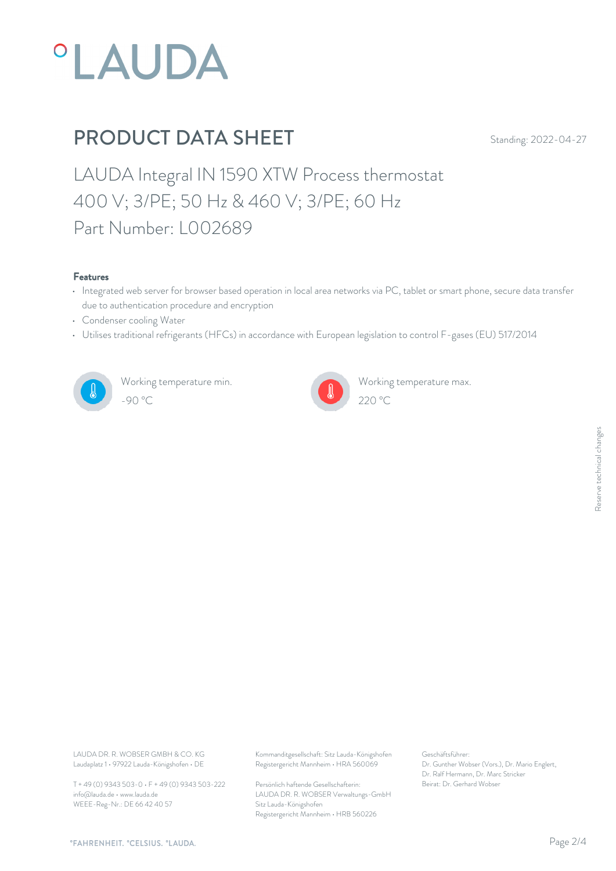

LAUDA Integral IN 1590 XTW Process thermostat 400 V; 3/PE; 50 Hz & 460 V; 3/PE; 60 Hz Part Number: L002689

#### Features

- Integrated web server for browser based operation in local area networks via PC, tablet or smart phone, secure data transfer due to authentication procedure and encryption
- Condenser cooling Water
- Utilises traditional refrigerants (HFCs) in accordance with European legislation to control F-gases (EU) 517/2014



Working temperature min. -90 °C 220 °C



Working temperature max.

Laudaplatz 1 • 97922 Lauda-Königshofen • DE

T + 49 (0) 9343 503-0 • F + 49 (0) 9343 503-222 info@lauda.de • www.lauda.de WEEE-Reg-Nr.: DE 66 42 40 57

LAUDA DR. R. WOBSER GMBH & CO. KG Kommanditgesellschaft: Sitz Lauda-Königshofen Geschäftsführer: Registergericht Mannheim • HRA 560069

> Persönlich haftende Gesellschafterin: Beirat: Dr. Gerhard Wobse LAUDA DR. R. WOBSER Verwaltungs-GmbH Sitz Lauda-Königshofen Registergericht Mannheim • HRB 560226

Geschäftsführer: Dr. Gunther Wobser (Vors.), Dr. Mario Englert, Dr. Ralf Hermann, Dr. Marc Stricker Beschäftsführer:<br>Dr. Gunther Wobser (Vors.), Dr. Mario Englert,<br>Dr. Ralf Hermann, Dr. Marc Stricker<br>Beirat: Dr. Gerhard Wobser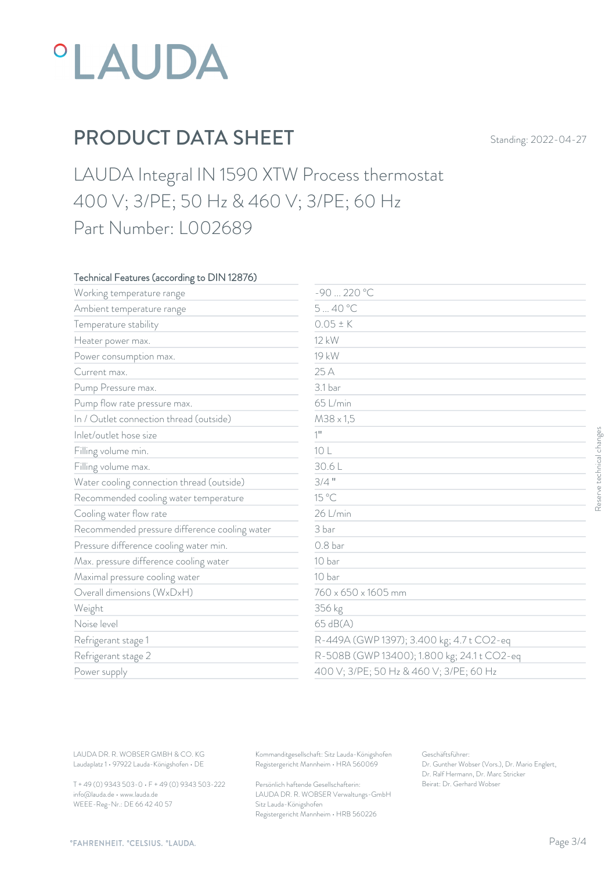

LAUDA Integral IN 1590 XTW Process thermostat 400 V; 3/PE; 50 Hz & 460 V; 3/PE; 60 Hz Part Number: L002689

### Technical Features (according to DIN 12876)

| Working temperature range                     | -90  220 °C         |                                             |  |
|-----------------------------------------------|---------------------|---------------------------------------------|--|
| Ambient temperature range                     | 540 °C              |                                             |  |
| Temperature stability                         | $0.05 \pm K$        |                                             |  |
| Heater power max.                             | 12 kW               |                                             |  |
| Power consumption max.                        | 19 kW               |                                             |  |
| Current max.                                  | 25 A                |                                             |  |
| Pump Pressure max.                            | 3.1 bar             |                                             |  |
| Pump flow rate pressure max.                  | 65 L/min            |                                             |  |
| In / Outlet connection thread (outside)       | $M38 \times 1,5$    |                                             |  |
| Inlet/outlet hose size                        | $1^{\rm n}$         |                                             |  |
| Filling volume min.                           | 10 L                |                                             |  |
| Filling volume max.                           | 30.6L               |                                             |  |
| Water cooling connection thread (outside)     | $3/4$ "             |                                             |  |
| Recommended cooling water temperature         | 15 °C               |                                             |  |
| Cooling water flow rate                       | 26 L/min            |                                             |  |
| Recommended pressure difference cooling water | 3 bar               |                                             |  |
| Pressure difference cooling water min.        | 0.8 <sub>bar</sub>  |                                             |  |
| Max. pressure difference cooling water        | 10 bar              |                                             |  |
| Maximal pressure cooling water                | 10 bar              |                                             |  |
| Overall dimensions (WxDxH)                    | 760 x 650 x 1605 mm |                                             |  |
| Weight                                        | 356 kg              |                                             |  |
| Noise level                                   | 65 dB(A)            |                                             |  |
| Refrigerant stage 1                           |                     | R-449A (GWP 1397); 3.400 kg; 4.7 t CO2-eq   |  |
| Refrigerant stage 2                           |                     | R-508B (GWP 13400); 1.800 kg; 24.1 t CO2-eq |  |
| Power supply                                  |                     | 400 V; 3/PE; 50 Hz & 460 V; 3/PE; 60 Hz     |  |

T + 49 (0) 9343 503-0 • F + 49 (0) 9343 503-222 info@lauda.de • www.lauda.de WEEE-Reg-Nr.: DE 66 42 40 57

> Persönlich haftende Gesellschafterin: Beirat: Dr. Gerhard Wobse LAUDA DR. R. WOBSER Verwaltungs-GmbH Sitz Lauda-Königshofen Registergericht Mannheim • HRB 560226